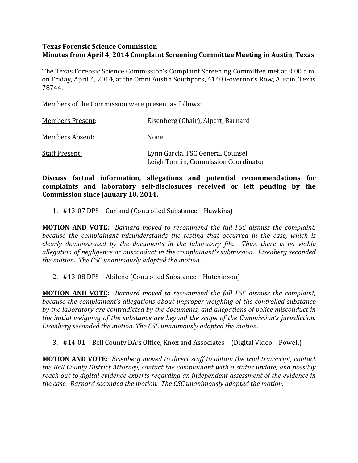## **Texas Forensic Science Commission Minutes from April 4, 2014 Complaint Screening Committee Meeting in Austin, Texas**

The Texas Forensic Science Commission's Complaint Screening Committee met at 8:00 a.m. on Friday, April 4, 2014, at the Omni Austin Southpark, 4140 Governor's Row, Austin, Texas 78744. 

Members of the Commission were present as follows:

| <b>Members Present:</b> | Eisenberg (Chair), Alpert, Barnard                                       |
|-------------------------|--------------------------------------------------------------------------|
| <b>Members Absent:</b>  | None                                                                     |
| <b>Staff Present:</b>   | Lynn Garcia, FSC General Counsel<br>Leigh Tomlin, Commission Coordinator |

Discuss factual information, allegations and potential recommendations for complaints and laboratory self-disclosures received or left pending by the **Commission since January 10, 2014.** 

1. #13-07 DPS – Garland (Controlled Substance – Hawkins)

**MOTION AND VOTE:** Barnard moved to recommend the full FSC dismiss the complaint, *because the complainant misunderstands the testing that occurred in the case, which is clearly* demonstrated by the documents in the laboratory file. Thus, there is no viable *allegation of negligence or misconduct in the complainant's submission. Eisenberg seconded* the motion. The CSC unanimously adopted the motion.

## 2. #13-08 DPS – Abilene (Controlled Substance – Hutchinson)

**MOTION AND VOTE:** *Barnard moved to recommend the full FSC dismiss the complaint, because the complainant's allegations about improper weighing of the controlled substance by* the laboratory are contradicted by the documents, and allegations of police misconduct in *the initial weighing of the substance are beyond the scope of the Commission's jurisdiction. Eisenberg seconded the motion. The CSC unanimously adopted the motion.* 

## 3.  $#14-01$  – Bell County DA's Office, Knox and Associates – (Digital Video – Powell)

**MOTION AND VOTE:** Eisenberg moved to direct staff to obtain the trial transcript, contact *the Bell County District Attorney, contact the complainant with a status update, and possibly reach out to digital evidence experts regarding an independent assessment of the evidence in the case. Barnard seconded the motion. The CSC unanimously adopted the motion.*